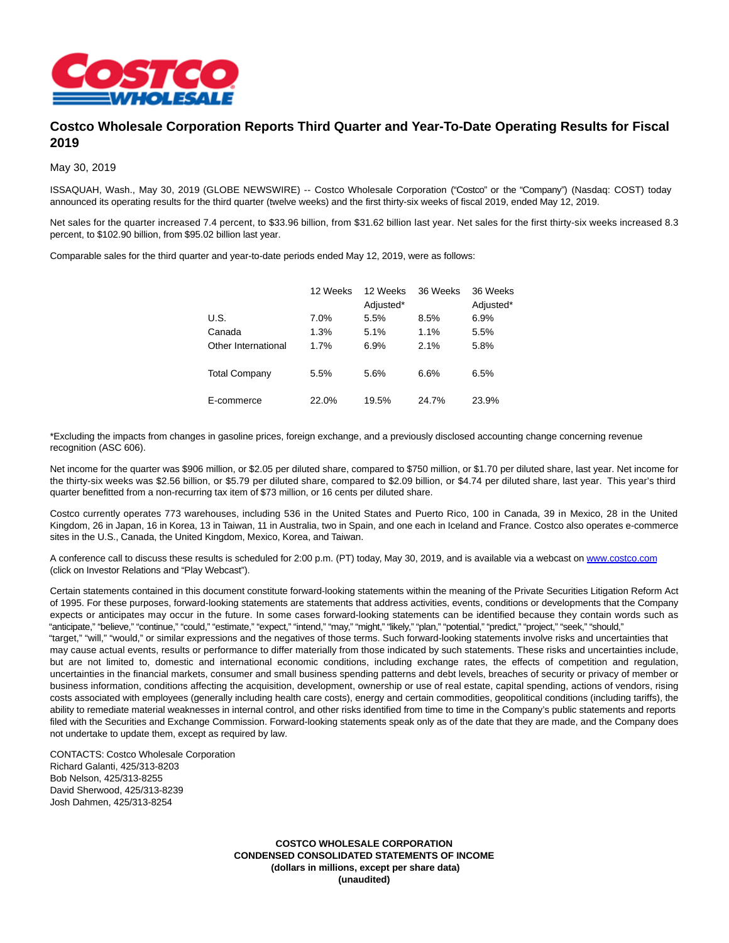

## **Costco Wholesale Corporation Reports Third Quarter and Year-To-Date Operating Results for Fiscal 2019**

May 30, 2019

ISSAQUAH, Wash., May 30, 2019 (GLOBE NEWSWIRE) -- Costco Wholesale Corporation ("Costco" or the "Company") (Nasdaq: COST) today announced its operating results for the third quarter (twelve weeks) and the first thirty-six weeks of fiscal 2019, ended May 12, 2019.

Net sales for the quarter increased 7.4 percent, to \$33.96 billion, from \$31.62 billion last year. Net sales for the first thirty-six weeks increased 8.3 percent, to \$102.90 billion, from \$95.02 billion last year.

Comparable sales for the third quarter and year-to-date periods ended May 12, 2019, were as follows:

|                      | 12 Weeks | 12 Weeks  | 36 Weeks | 36 Weeks  |
|----------------------|----------|-----------|----------|-----------|
|                      |          | Adjusted* |          | Adjusted* |
| U.S.                 | 7.0%     | 5.5%      | 8.5%     | 6.9%      |
| Canada               | 1.3%     | 5.1%      | 1.1%     | 5.5%      |
| Other International  | 1.7%     | 6.9%      | 2.1%     | 5.8%      |
| <b>Total Company</b> | 5.5%     | 5.6%      | 6.6%     | 6.5%      |
| E-commerce           | 22.0%    | 19.5%     | 24.7%    | 23.9%     |

\*Excluding the impacts from changes in gasoline prices, foreign exchange, and a previously disclosed accounting change concerning revenue recognition (ASC 606).

Net income for the quarter was \$906 million, or \$2.05 per diluted share, compared to \$750 million, or \$1.70 per diluted share, last year. Net income for the thirty-six weeks was \$2.56 billion, or \$5.79 per diluted share, compared to \$2.09 billion, or \$4.74 per diluted share, last year. This year's third quarter benefitted from a non-recurring tax item of \$73 million, or 16 cents per diluted share.

Costco currently operates 773 warehouses, including 536 in the United States and Puerto Rico, 100 in Canada, 39 in Mexico, 28 in the United Kingdom, 26 in Japan, 16 in Korea, 13 in Taiwan, 11 in Australia, two in Spain, and one each in Iceland and France. Costco also operates e-commerce sites in the U.S., Canada, the United Kingdom, Mexico, Korea, and Taiwan.

A conference call to discuss these results is scheduled for 2:00 p.m. (PT) today, May 30, 2019, and is available via a webcast on [www.costco.com](http://www.costco.com/) (click on Investor Relations and "Play Webcast").

Certain statements contained in this document constitute forward-looking statements within the meaning of the Private Securities Litigation Reform Act of 1995. For these purposes, forward-looking statements are statements that address activities, events, conditions or developments that the Company expects or anticipates may occur in the future. In some cases forward-looking statements can be identified because they contain words such as "anticipate," "believe," "continue," "could," "estimate," "expect," "intend," "may," "might," "likely," "plan," "potential," "predict," "project," "seek," "should," "target," "will," "would," or similar expressions and the negatives of those terms. Such forward-looking statements involve risks and uncertainties that may cause actual events, results or performance to differ materially from those indicated by such statements. These risks and uncertainties include, but are not limited to, domestic and international economic conditions, including exchange rates, the effects of competition and regulation, uncertainties in the financial markets, consumer and small business spending patterns and debt levels, breaches of security or privacy of member or business information, conditions affecting the acquisition, development, ownership or use of real estate, capital spending, actions of vendors, rising costs associated with employees (generally including health care costs), energy and certain commodities, geopolitical conditions (including tariffs), the ability to remediate material weaknesses in internal control, and other risks identified from time to time in the Company's public statements and reports filed with the Securities and Exchange Commission. Forward-looking statements speak only as of the date that they are made, and the Company does not undertake to update them, except as required by law.

CONTACTS: Costco Wholesale Corporation Richard Galanti, 425/313-8203 Bob Nelson, 425/313-8255 David Sherwood, 425/313-8239 Josh Dahmen, 425/313-8254

> **COSTCO WHOLESALE CORPORATION CONDENSED CONSOLIDATED STATEMENTS OF INCOME (dollars in millions, except per share data) (unaudited)**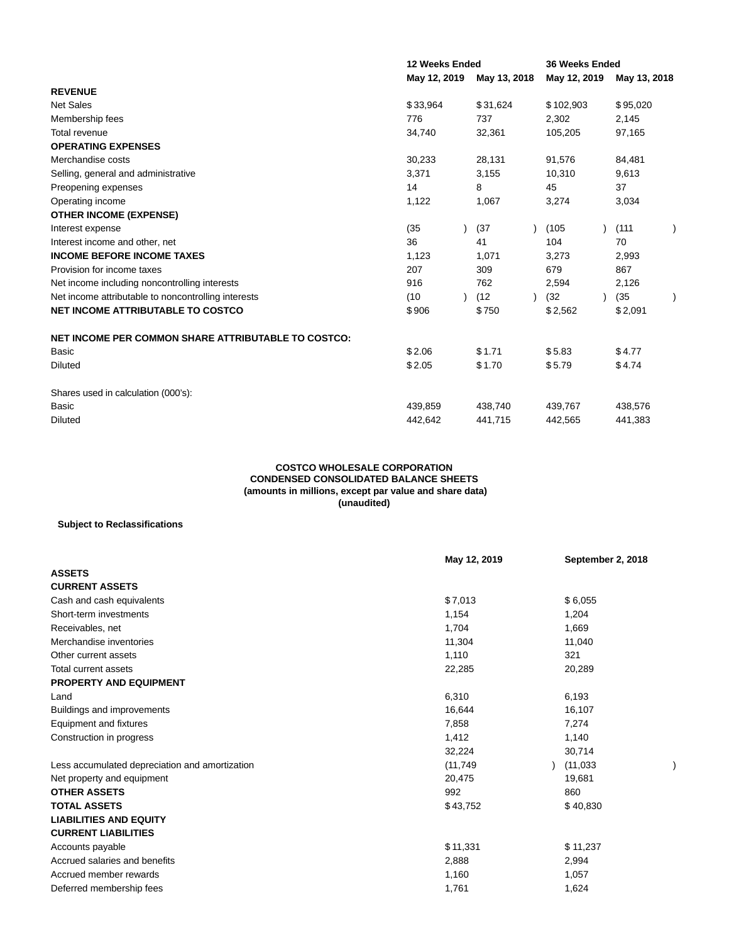|                                                     | 12 Weeks Ended |              | <b>36 Weeks Ended</b> |              |
|-----------------------------------------------------|----------------|--------------|-----------------------|--------------|
|                                                     | May 12, 2019   | May 13, 2018 | May 12, 2019          | May 13, 2018 |
| <b>REVENUE</b>                                      |                |              |                       |              |
| <b>Net Sales</b>                                    | \$33,964       | \$31,624     | \$102,903             | \$95,020     |
| Membership fees                                     | 776            | 737          | 2,302                 | 2,145        |
| Total revenue                                       | 34,740         | 32,361       | 105,205               | 97,165       |
| <b>OPERATING EXPENSES</b>                           |                |              |                       |              |
| Merchandise costs                                   | 30,233         | 28,131       | 91,576                | 84,481       |
| Selling, general and administrative                 | 3,371          | 3,155        | 10,310                | 9,613        |
| Preopening expenses                                 | 14             | 8            | 45                    | 37           |
| Operating income                                    | 1,122          | 1,067        | 3,274                 | 3,034        |
| <b>OTHER INCOME (EXPENSE)</b>                       |                |              |                       |              |
| Interest expense                                    | (35)           | (37)         | (105)                 | (111)        |
| Interest income and other, net                      | 36             | 41           | 104                   | 70           |
| <b>INCOME BEFORE INCOME TAXES</b>                   | 1,123          | 1,071        | 3,273                 | 2,993        |
| Provision for income taxes                          | 207            | 309          | 679                   | 867          |
| Net income including noncontrolling interests       | 916            | 762          | 2,594                 | 2,126        |
| Net income attributable to noncontrolling interests | (10)           | (12)         | (32)                  | (35)         |
| <b>NET INCOME ATTRIBUTABLE TO COSTCO</b>            | \$906          | \$750        | \$2,562               | \$2,091      |
| NET INCOME PER COMMON SHARE ATTRIBUTABLE TO COSTCO: |                |              |                       |              |
| <b>Basic</b>                                        | \$2.06         | \$1.71       | \$5.83                | \$4.77       |
| <b>Diluted</b>                                      | \$2.05         | \$1.70       | \$5.79                | \$4.74       |
| Shares used in calculation (000's):                 |                |              |                       |              |
| Basic                                               | 439,859        | 438,740      | 439,767               | 438,576      |
| <b>Diluted</b>                                      | 442,642        | 441,715      | 442,565               | 441,383      |

## **COSTCO WHOLESALE CORPORATION CONDENSED CONSOLIDATED BALANCE SHEETS (amounts in millions, except par value and share data) (unaudited)**

## **Subject to Reclassifications**

|                                                | May 12, 2019 | September 2, 2018 |  |
|------------------------------------------------|--------------|-------------------|--|
| <b>ASSETS</b>                                  |              |                   |  |
| <b>CURRENT ASSETS</b>                          |              |                   |  |
| Cash and cash equivalents                      | \$7,013      | \$6,055           |  |
| Short-term investments                         | 1,154        | 1,204             |  |
| Receivables, net                               | 1,704        | 1,669             |  |
| Merchandise inventories                        | 11,304       | 11,040            |  |
| Other current assets                           | 1,110        | 321               |  |
| <b>Total current assets</b>                    | 22,285       | 20,289            |  |
| <b>PROPERTY AND EQUIPMENT</b>                  |              |                   |  |
| Land                                           | 6,310        | 6,193             |  |
| Buildings and improvements                     | 16,644       | 16,107            |  |
| Equipment and fixtures                         | 7,858        | 7,274             |  |
| Construction in progress                       | 1,412        | 1,140             |  |
|                                                | 32,224       | 30,714            |  |
| Less accumulated depreciation and amortization | (11, 749)    | (11, 033)         |  |
| Net property and equipment                     | 20,475       | 19,681            |  |
| <b>OTHER ASSETS</b>                            | 992          | 860               |  |
| <b>TOTAL ASSETS</b>                            | \$43,752     | \$40,830          |  |
| <b>LIABILITIES AND EQUITY</b>                  |              |                   |  |
| <b>CURRENT LIABILITIES</b>                     |              |                   |  |
| Accounts payable                               | \$11,331     | \$11,237          |  |
| Accrued salaries and benefits                  | 2,888        | 2,994             |  |
| Accrued member rewards                         | 1,160        | 1,057             |  |
| Deferred membership fees                       | 1,761        | 1,624             |  |